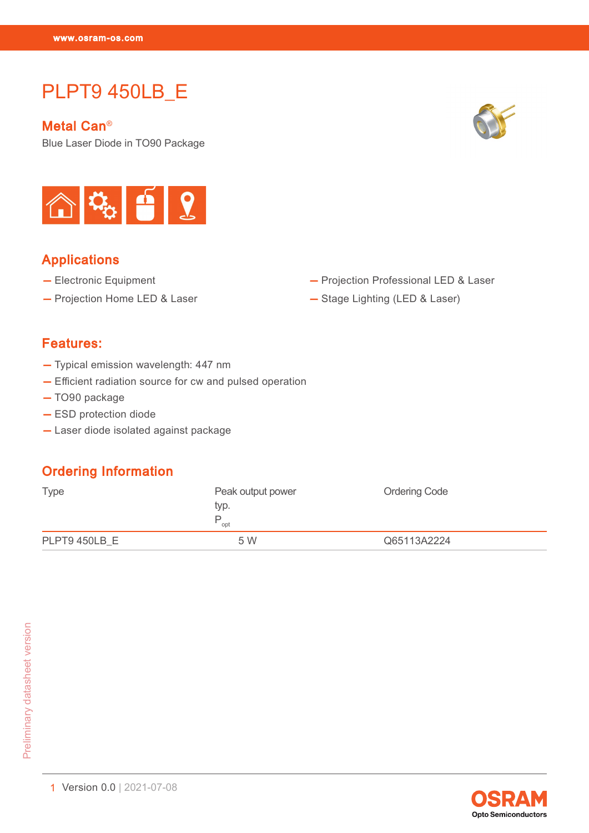# PLPT9 450LB\_E

Metal Can®

PLPT9 450LB\_EXPLPT9 450LB\_EXPLPT9

Blue Laser Diode in TO90 Package





### Applications

- Electronic Equipment
- Projection Home LED & Laser
- Projection Professional LED & Laser
- Stage Lighting (LED & Laser)

#### Features:

- Typical emission wavelength: 447 nm
- Efficient radiation source for cw and pulsed operation
- TO90 package
- ESD protection diode
- Laser diode isolated against package

### Ordering Information

| Type          | Peak output power<br>typ.<br>opt | <b>Ordering Code</b> |
|---------------|----------------------------------|----------------------|
| PLPT9 450LB E | 5 W                              | Q65113A2224          |

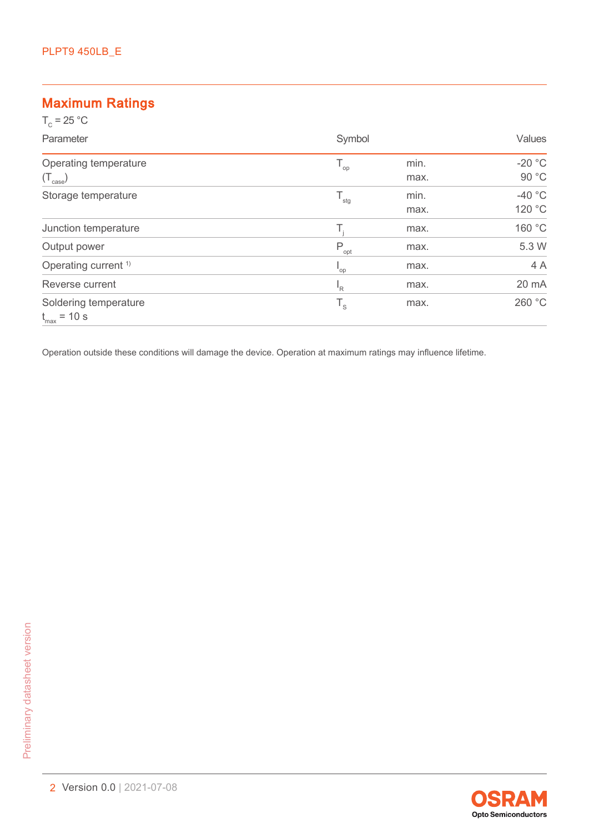### Maximum Ratings

| $T_c = 25 °C$                                         |                  |              |                   |
|-------------------------------------------------------|------------------|--------------|-------------------|
| Parameter                                             | Symbol           |              | Values            |
| Operating temperature                                 | $T_{op}$         | min.<br>max. | $-20 °C$<br>90 °C |
| $(\mathsf{T}_{\mathsf{case}})$<br>Storage temperature | $T_{\rm stg}$    | min.         | -40 $\degree$ C   |
| Junction temperature                                  | Τ,               | max.<br>max. | 120 °C<br>160 °C  |
| Output power                                          | $P_{\text{opt}}$ | max.         | 5.3 W             |
| Operating current <sup>1)</sup>                       | "op              | max.         | 4 A               |
| Reverse current                                       | $I_R$            | max.         | 20 mA             |
| Soldering temperature<br>$t_{\text{max}}$ = 10 s      | $T_{\rm s}$      | max.         | 260 °C            |

Operation outside these conditions will damage the device. Operation at maximum ratings may influence lifetime.

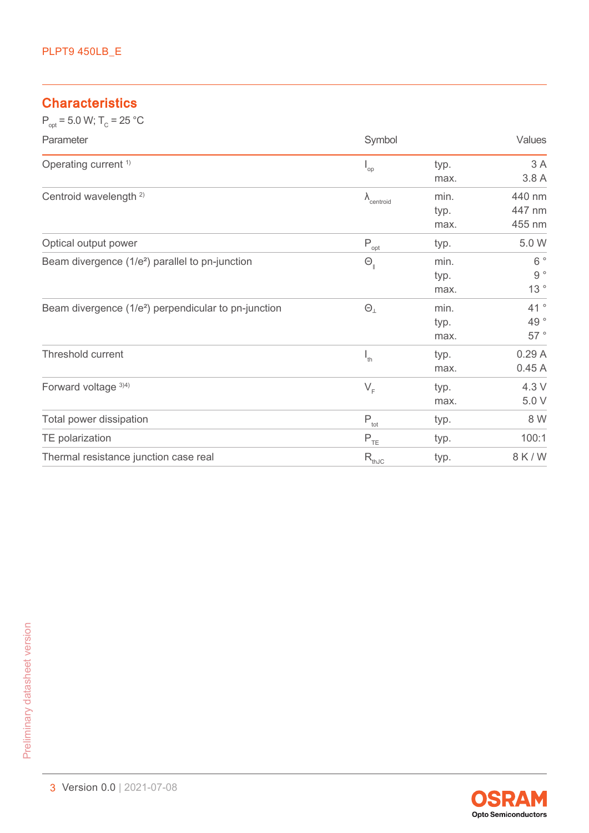### **Characteristics**

 $P_{opt} = 5.0 \text{ W}; T_{C} = 25 \text{ °C}$ 

| Parameter                                                        | Symbol                                 |      | Values           |
|------------------------------------------------------------------|----------------------------------------|------|------------------|
| Operating current <sup>1)</sup>                                  | $\mathsf{I}_{\mathsf{op}}$             | typ. | 3A               |
|                                                                  |                                        | max. | 3.8 A            |
| Centroid wavelength <sup>2)</sup>                                | $\lambda$ <sub>centroid</sub>          | min. | 440 nm           |
|                                                                  |                                        | typ. | 447 nm           |
|                                                                  |                                        | max. | 455 nm           |
| Optical output power                                             | P<br>opt                               | typ. | 5.0 W            |
| Beam divergence (1/e <sup>2</sup> ) parallel to pn-junction      | $\Theta_{\scriptscriptstyle\parallel}$ | min. | $6^{\circ}$      |
|                                                                  |                                        | typ. | $9\,$ $^{\circ}$ |
|                                                                  |                                        | max. | 13 $^{\circ}$    |
| Beam divergence (1/e <sup>2</sup> ) perpendicular to pn-junction | $\Theta_{\perp}$                       | min. | 41°              |
|                                                                  |                                        | typ. | 49 $^{\circ}$    |
|                                                                  |                                        | max. | $57~^\circ$      |
| Threshold current                                                | $I_{th}$                               | typ. | 0.29A            |
|                                                                  |                                        | max. | 0.45A            |
| Forward voltage 3)4)                                             | $V_F$                                  | typ. | 4.3 V            |
|                                                                  |                                        | max. | 5.0 V            |
| Total power dissipation                                          | $P_{\text{tot}}$                       | typ. | 8 W              |
| TE polarization                                                  | $P_{TE}$                               | typ. | 100:1            |
| Thermal resistance junction case real                            | $R_{thJC}$                             | typ. | 8 K / W          |

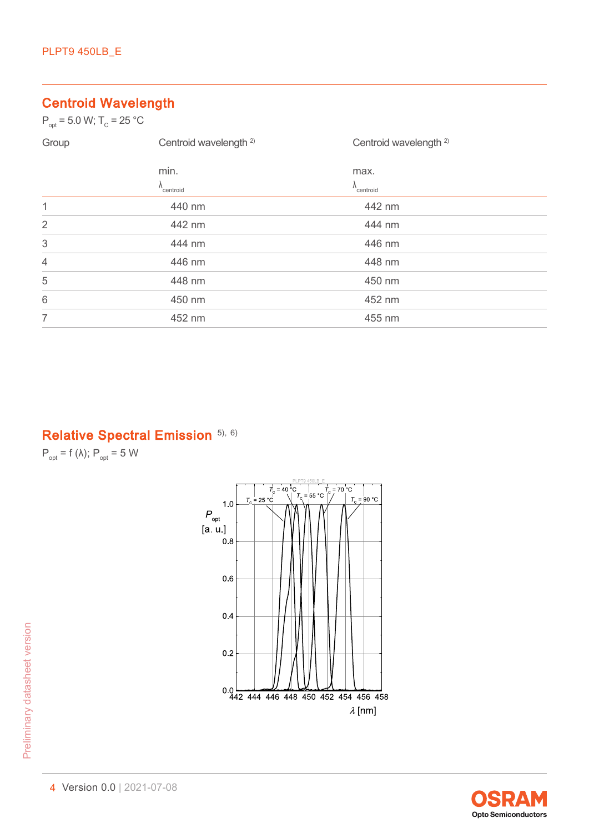# Centroid Wavelength

 $P_{opt} = 5.0 \text{ W}; T_{C} = 25 \text{ °C}$ 

| Group          | Centroid wavelength <sup>2)</sup> | Centroid wavelength <sup>2)</sup> |  |
|----------------|-----------------------------------|-----------------------------------|--|
|                | min.                              | max.                              |  |
|                | $\Lambda_{\text{centroid}}$       | $\lambda$ <sub>centroid</sub>     |  |
| 1              | 440 nm                            | 442 nm                            |  |
| $\overline{2}$ | 442 nm                            | 444 nm                            |  |
| $\sqrt{3}$     | 444 nm                            | 446 nm                            |  |
| $\overline{4}$ | 446 nm                            | 448 nm                            |  |
| 5              | 448 nm                            | 450 nm                            |  |
| 6              | 450 nm                            | 452 nm                            |  |
| $\overline{7}$ | 452 nm                            | 455 nm                            |  |

# Relative Spectral Emission [5\),](#page-12-0) [6\)](#page-12-0)

 $P_{opt}$  = f ( $\lambda$ );  $P_{opt}$  = 5 W



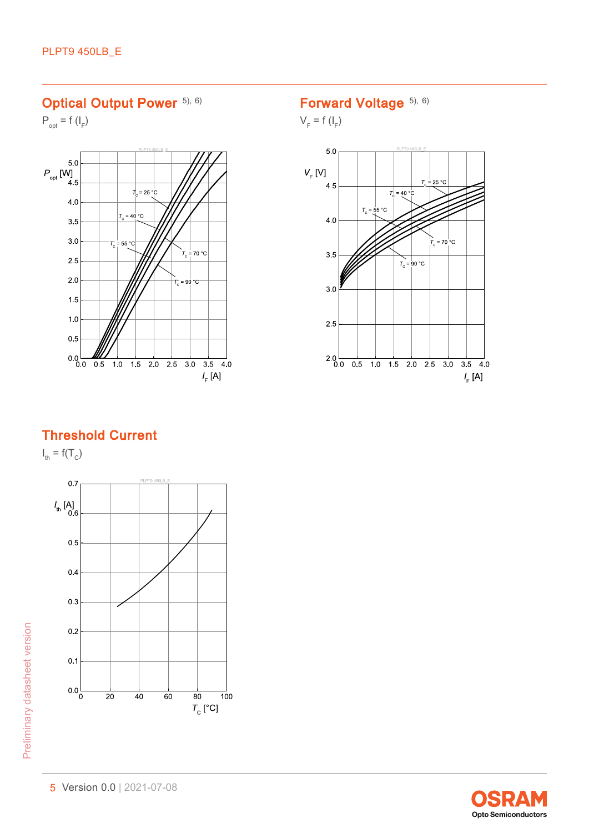### Optical Output Power [5\),](#page-12-0) [6\)](#page-12-0)

 $P_{opt} = f(I_F)$ 



## Forward Voltage [5\),](#page-12-0) [6\)](#page-12-0)

 $V_F$  = f ( $I_F$ )



#### Threshold Current

 $I_{\text{th}} = f(T_c)$ 



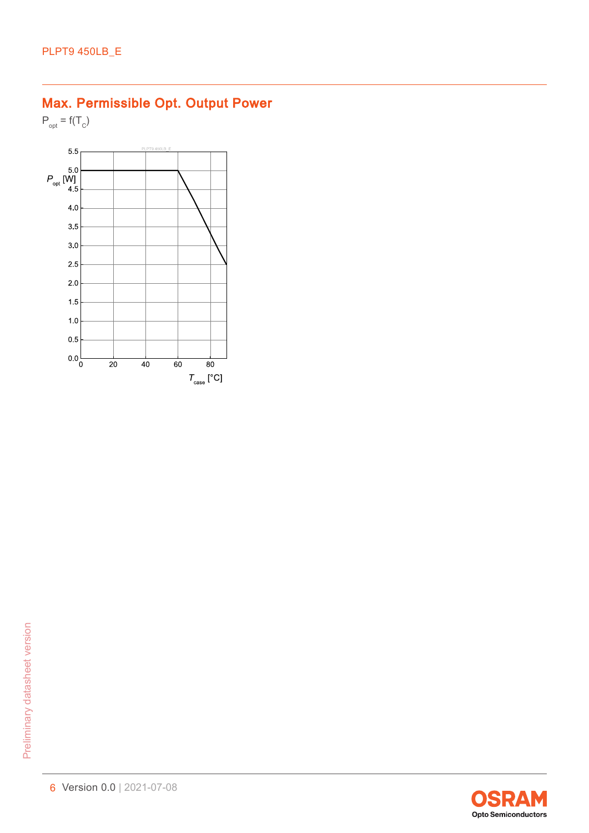# Max. Permissible Opt. Output Power

 $P_{opt} = f(T_C)$ 



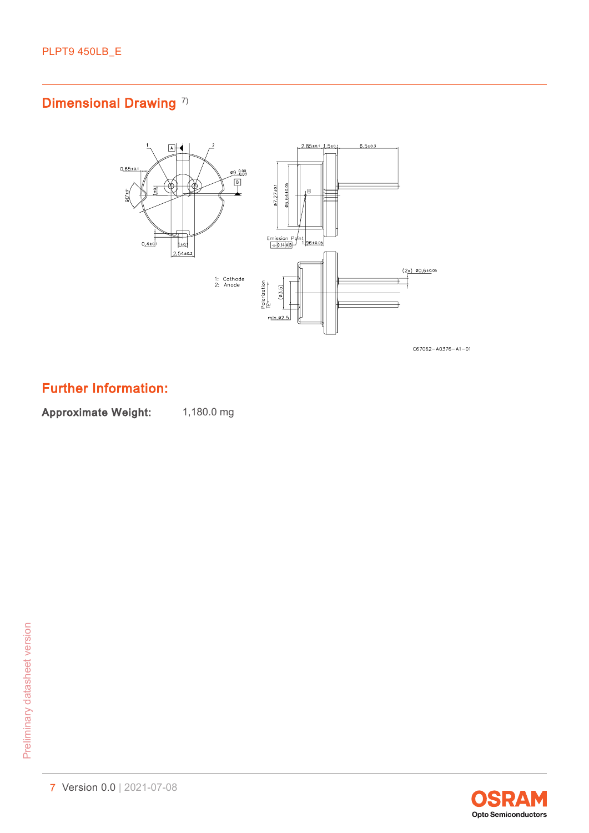# Dimensional Drawing<sup>[7\)](#page-12-0)</sup>



 $C67062 - A0376 - A1 - 01$ 

### Further Information:

Approximate Weight: 1,180.0 mg

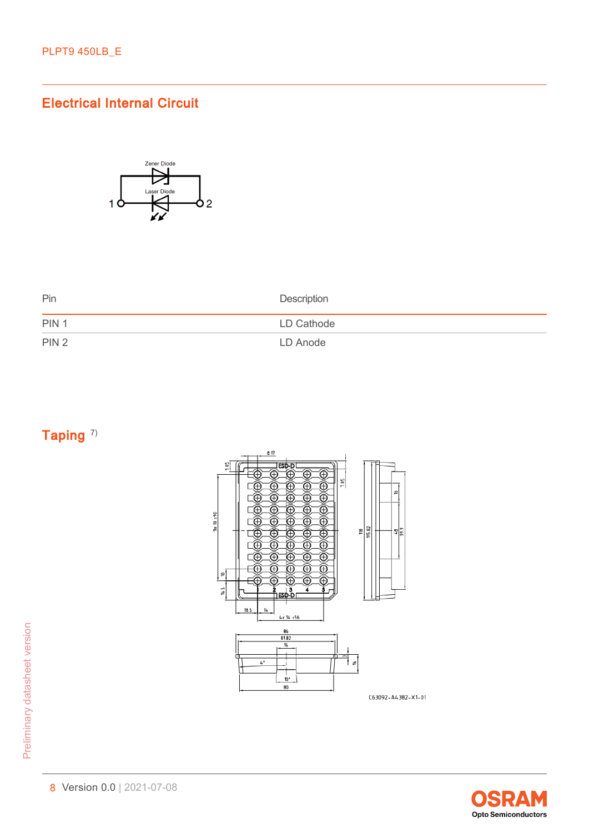### Electrical Internal Circuit



| Pin              | Description |
|------------------|-------------|
| PIN <sub>1</sub> | LD Cathode  |
| PIN <sub>2</sub> | LD Anode    |

Taping<sup>[7\)](#page-12-0)</sup>



C63092-A4382-X1-01

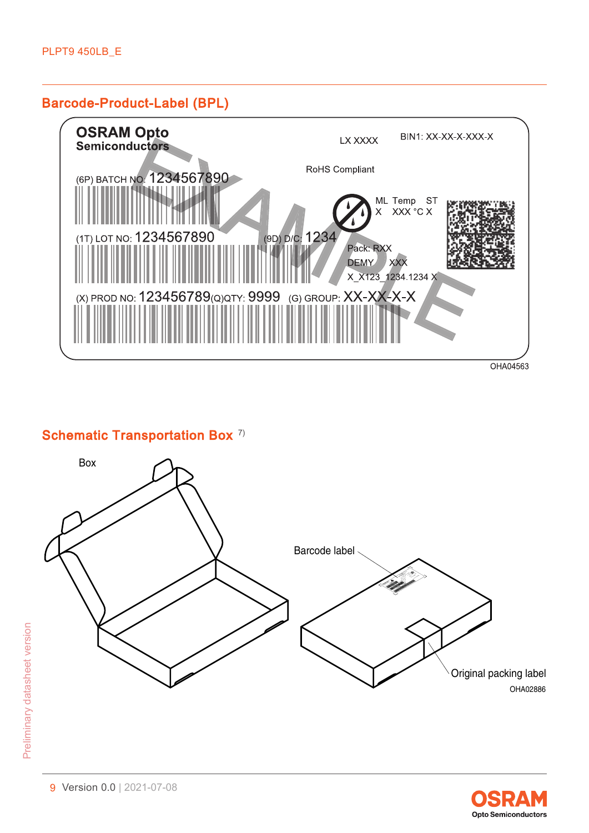#### Barcode-Product-Label (BPL)



#### Schematic Transportation Box<sup>[7\)](#page-12-0)</sup>



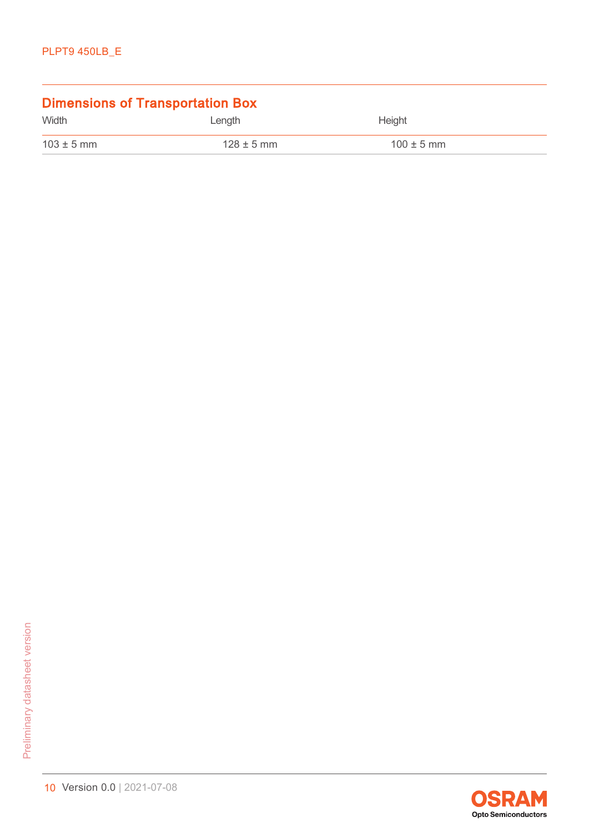| <b>Dimensions of Transportation Box</b> |                |                |  |
|-----------------------------------------|----------------|----------------|--|
| Width                                   | Length         | Height         |  |
| $103 \pm 5$ mm                          | $128 \pm 5$ mm | $100 \pm 5$ mm |  |

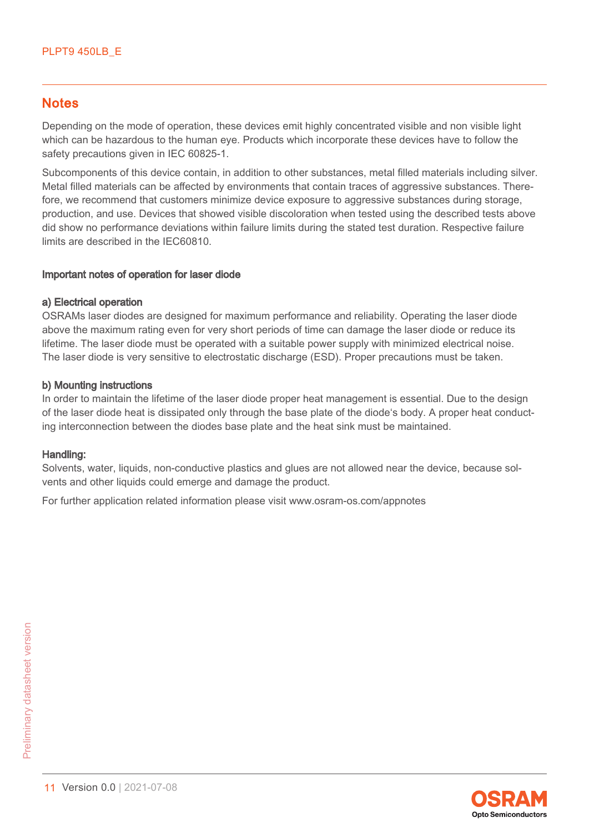#### **Notes**

Depending on the mode of operation, these devices emit highly concentrated visible and non visible light which can be hazardous to the human eye. Products which incorporate these devices have to follow the safety precautions given in IEC 60825-1.

Subcomponents of this device contain, in addition to other substances, metal filled materials including silver. Metal filled materials can be affected by environments that contain traces of aggressive substances. Therefore, we recommend that customers minimize device exposure to aggressive substances during storage, production, and use. Devices that showed visible discoloration when tested using the described tests above did show no performance deviations within failure limits during the stated test duration. Respective failure limits are described in the IEC60810.

#### Important notes of operation for laser diode

#### a) Electrical operation

OSRAMs laser diodes are designed for maximum performance and reliability. Operating the laser diode above the maximum rating even for very short periods of time can damage the laser diode or reduce its lifetime. The laser diode must be operated with a suitable power supply with minimized electrical noise. The laser diode is very sensitive to electrostatic discharge (ESD). Proper precautions must be taken.

#### b) Mounting instructions

In order to maintain the lifetime of the laser diode proper heat management is essential. Due to the design of the laser diode heat is dissipated only through the base plate of the diode's body. A proper heat conducting interconnection between the diodes base plate and the heat sink must be maintained.

#### Handling:

Solvents, water, liquids, non-conductive plastics and glues are not allowed near the device, because solvents and other liquids could emerge and damage the product.

For further application related information please visit www.osram-os.com/appnotes

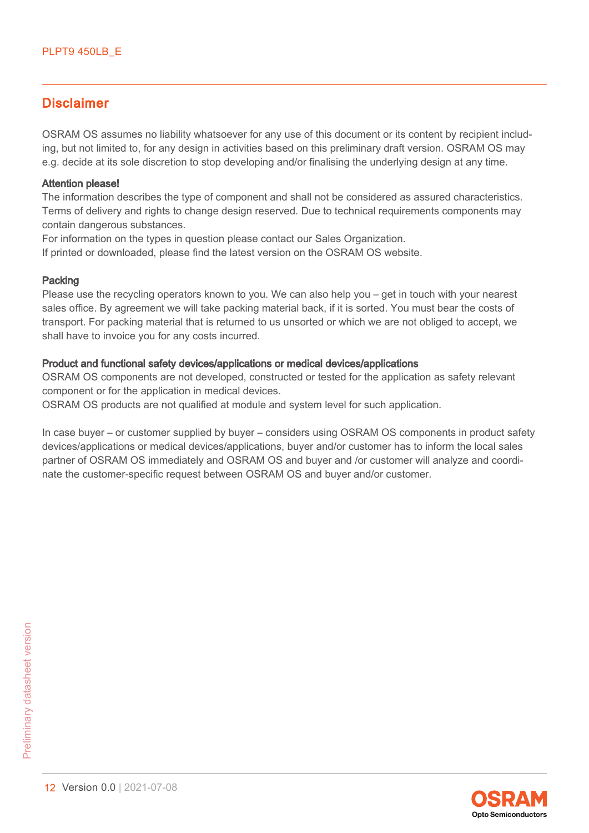#### **Disclaimer**

OSRAM OS assumes no liability whatsoever for any use of this document or its content by recipient including, but not limited to, for any design in activities based on this preliminary draft version. OSRAM OS may e.g. decide at its sole discretion to stop developing and/or finalising the underlying design at any time.

#### Attention please!

The information describes the type of component and shall not be considered as assured characteristics. Terms of delivery and rights to change design reserved. Due to technical requirements components may contain dangerous substances.

For information on the types in question please contact our Sales Organization.

If printed or downloaded, please find the latest version on the OSRAM OS website.

#### Packing

Please use the recycling operators known to you. We can also help you – get in touch with your nearest sales office. By agreement we will take packing material back, if it is sorted. You must bear the costs of transport. For packing material that is returned to us unsorted or which we are not obliged to accept, we shall have to invoice you for any costs incurred.

#### Product and functional safety devices/applications or medical devices/applications

OSRAM OS components are not developed, constructed or tested for the application as safety relevant component or for the application in medical devices.

OSRAM OS products are not qualified at module and system level for such application.

In case buyer – or customer supplied by buyer – considers using OSRAM OS components in product safety devices/applications or medical devices/applications, buyer and/or customer has to inform the local sales partner of OSRAM OS immediately and OSRAM OS and buyer and /or customer will analyze and coordinate the customer-specific request between OSRAM OS and buyer and/or customer.

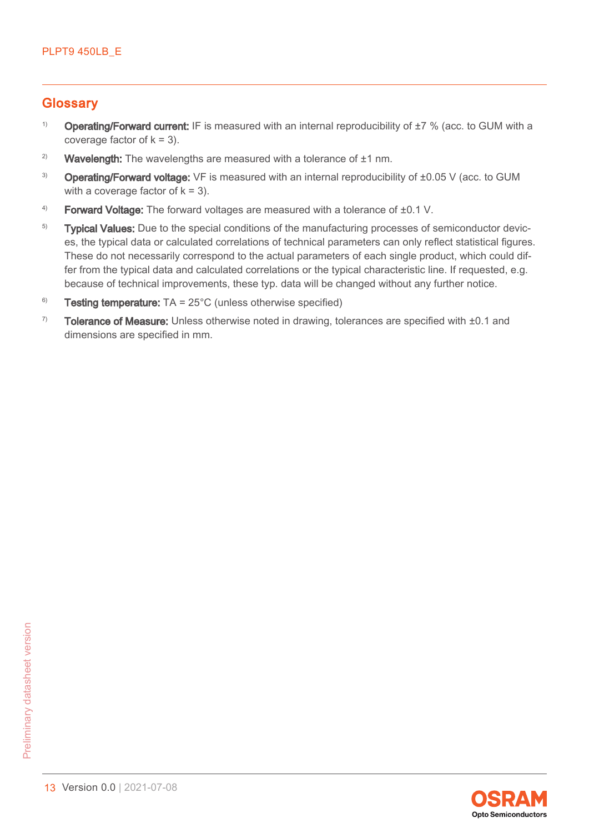#### <span id="page-12-0"></span>**Glossary**

- <sup>1)</sup> Operating/Forward current: IF is measured with an internal reproducibility of  $\pm 7$  % (acc. to GUM with a coverage factor of  $k = 3$ ).
- <sup>2)</sup> Wavelength: The wavelengths are measured with a tolerance of  $±1$  nm.
- <sup>3)</sup> Operating/Forward voltage: VF is measured with an internal reproducibility of ±0.05 V (acc. to GUM with a coverage factor of  $k = 3$ ).
- 4) Forward Voltage: The forward voltages are measured with a tolerance of ±0.1 V.
- <sup>5)</sup> Typical Values: Due to the special conditions of the manufacturing processes of semiconductor devices, the typical data or calculated correlations of technical parameters can only reflect statistical figures. These do not necessarily correspond to the actual parameters of each single product, which could differ from the typical data and calculated correlations or the typical characteristic line. If requested, e.g. because of technical improvements, these typ. data will be changed without any further notice.
- <sup>6)</sup> Testing temperature:  $TA = 25^{\circ}C$  (unless otherwise specified)
- $7$  Tolerance of Measure: Unless otherwise noted in drawing, tolerances are specified with  $\pm 0.1$  and dimensions are specified in mm.

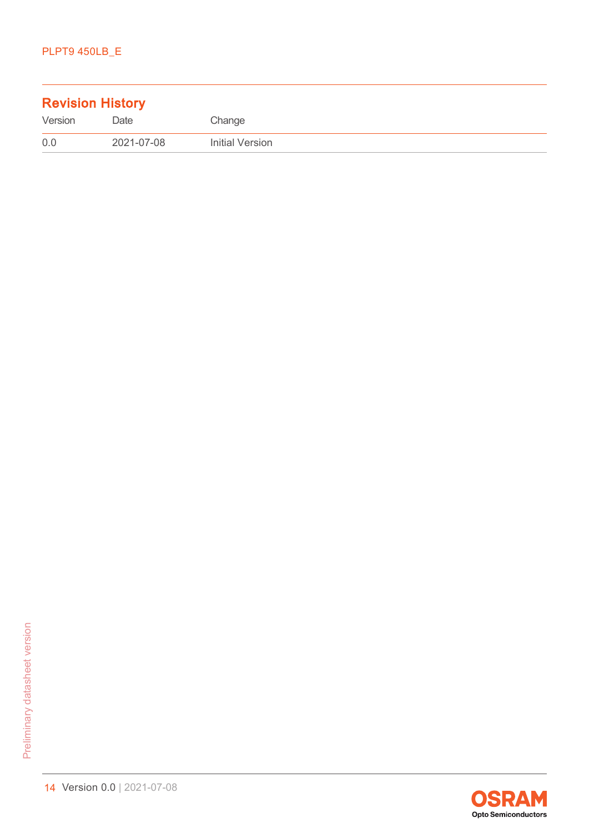| <b>Revision History</b> |            |                 |
|-------------------------|------------|-----------------|
| Version                 | Date       | Change          |
| 0.0                     | 2021-07-08 | Initial Version |